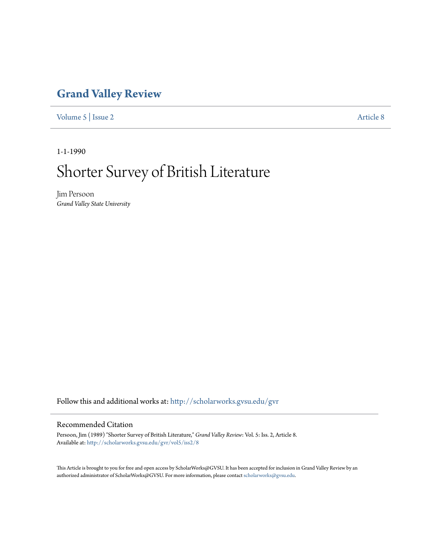### **[Grand Valley Review](http://scholarworks.gvsu.edu/gvr?utm_source=scholarworks.gvsu.edu%2Fgvr%2Fvol5%2Fiss2%2F8&utm_medium=PDF&utm_campaign=PDFCoverPages)**

[Volume 5](http://scholarworks.gvsu.edu/gvr/vol5?utm_source=scholarworks.gvsu.edu%2Fgvr%2Fvol5%2Fiss2%2F8&utm_medium=PDF&utm_campaign=PDFCoverPages) | [Issue 2](http://scholarworks.gvsu.edu/gvr/vol5/iss2?utm_source=scholarworks.gvsu.edu%2Fgvr%2Fvol5%2Fiss2%2F8&utm_medium=PDF&utm_campaign=PDFCoverPages) [Article 8](http://scholarworks.gvsu.edu/gvr/vol5/iss2/8?utm_source=scholarworks.gvsu.edu%2Fgvr%2Fvol5%2Fiss2%2F8&utm_medium=PDF&utm_campaign=PDFCoverPages)

1-1-1990

# Shorter Survey of British Literature

Jim Persoon *Grand Valley State University*

Follow this and additional works at: [http://scholarworks.gvsu.edu/gvr](http://scholarworks.gvsu.edu/gvr?utm_source=scholarworks.gvsu.edu%2Fgvr%2Fvol5%2Fiss2%2F8&utm_medium=PDF&utm_campaign=PDFCoverPages)

### Recommended Citation

Persoon, Jim (1989) "Shorter Survey of British Literature," *Grand Valley Review*: Vol. 5: Iss. 2, Article 8. Available at: [http://scholarworks.gvsu.edu/gvr/vol5/iss2/8](http://scholarworks.gvsu.edu/gvr/vol5/iss2/8?utm_source=scholarworks.gvsu.edu%2Fgvr%2Fvol5%2Fiss2%2F8&utm_medium=PDF&utm_campaign=PDFCoverPages)

This Article is brought to you for free and open access by ScholarWorks@GVSU. It has been accepted for inclusion in Grand Valley Review by an authorized administrator of ScholarWorks@GVSU. For more information, please contact [scholarworks@gvsu.edu.](mailto:scholarworks@gvsu.edu)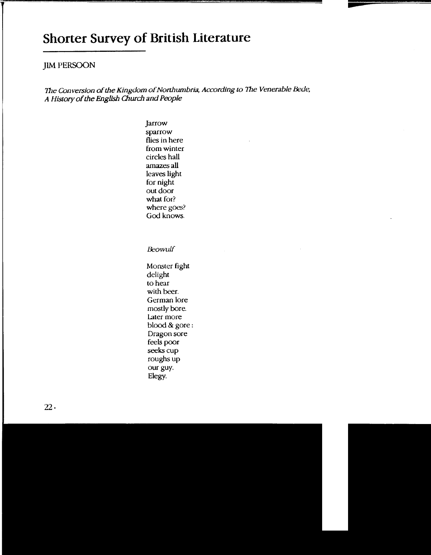## **Shorter Survey of British Literature**

### **JIM PERSOON**

The Conversion of the Kingdom of Northumbria, According to The Venerable Bede, A *History* of the English Church and People

> Jarrow sparrow flies in here from winter circles hall amazes all leaves light for night out door what for? where goes? God knows.

Beowulf

Monster fight delight to hear with beer. German lore mostly bore. Later more blood & gore: Dragon sore feels poor seeks cup roughs up our guy. Elegy.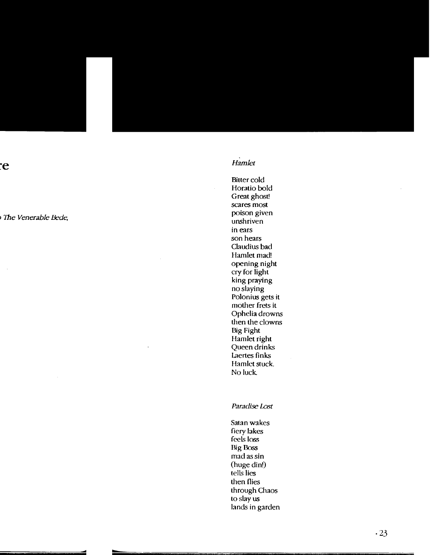### *Hamlet*

Bitter cold Horatio bold Great ghost! scares most poison given unshriven in ears son hears Claudius bad Hamlet mad! opening night cry for light king praying no slaying Polonius gets it mother frets it Ophelia drowns then the clowns Big Fight Hamlet right Queen drinks Laertes finks Hamlet stuck. No luck

Paradise Lost

Satan wakes fiery lakes feels loss Rig Boss mad as sin (huge din!) tells lies then flies through Chaos to slay us lands in garden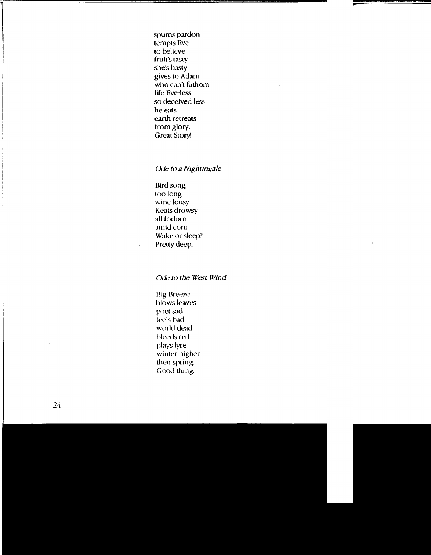spurns pardon tempts Eve to believe fruit's tasty she's hasty gives to Adam who can't fathom life Eve-less so deceived less he eats<sup>7</sup> earth retreats from glory. Great Story!

#### *Ode to a Nightingale*

Bird song too long wine lousy Keats drowsy all forlorn amid corn. Wake or sleep? Pretty deep.

*Ode to the \Vest \Vind* 

Big Breeze blows leaves poet sad feels bad world dead bleeds red plays lyre winter nigher then spring. Good thing.